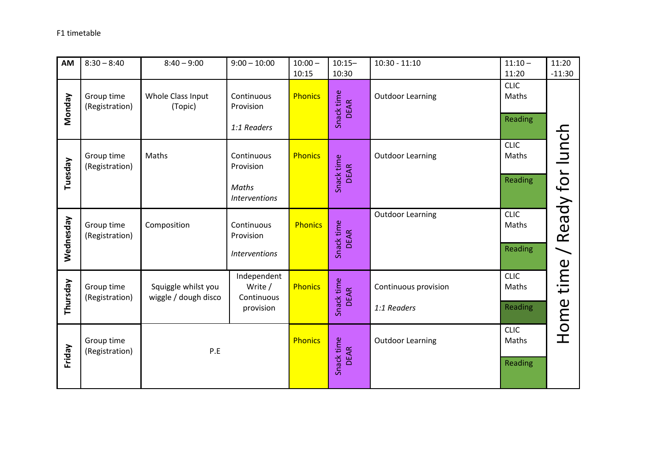## F1 timetable

| AM        | $8:30 - 8:40$                | $8:40 - 9:00$                               | $9:00 - 10:00$                                           | $10:00 -$<br>10:15 | $10:15 -$<br>10:30        | $10:30 - 11:10$                     | $11:10 -$<br>11:20              | 11:20<br>$-11:30$ |
|-----------|------------------------------|---------------------------------------------|----------------------------------------------------------|--------------------|---------------------------|-------------------------------------|---------------------------------|-------------------|
| Vonday    | Group time<br>(Registration) | Whole Class Input<br>(Topic)                | Continuous<br>Provision<br>1:1 Readers                   | <b>Phonics</b>     | Snack time<br><b>DEAR</b> | <b>Outdoor Learning</b>             | <b>CLIC</b><br>Maths<br>Reading |                   |
| Tuesday   | Group time<br>(Registration) | Maths                                       | Continuous<br>Provision<br>Maths<br><b>Interventions</b> | <b>Phonics</b>     | Snack time<br><b>DEAR</b> | <b>Outdoor Learning</b>             | <b>CLIC</b><br>Maths<br>Reading | Ready for lunch   |
| Wednesday | Group time<br>(Registration) | Composition                                 | Continuous<br>Provision<br><b>Interventions</b>          | <b>Phonics</b>     | Snack time<br><b>DEAR</b> | <b>Outdoor Learning</b>             | <b>CLIC</b><br>Maths<br>Reading |                   |
| Thursday  | Group time<br>(Registration) | Squiggle whilst you<br>wiggle / dough disco | Independent<br>Write /<br>Continuous<br>provision        | <b>Phonics</b>     | Snack time<br><b>DEAR</b> | Continuous provision<br>1:1 Readers | <b>CLIC</b><br>Maths<br>Reading | Home time         |
| Friday    | Group time<br>(Registration) | P.E                                         |                                                          | <b>Phonics</b>     | Snack time<br><b>DEAR</b> | <b>Outdoor Learning</b>             | <b>CLIC</b><br>Maths<br>Reading |                   |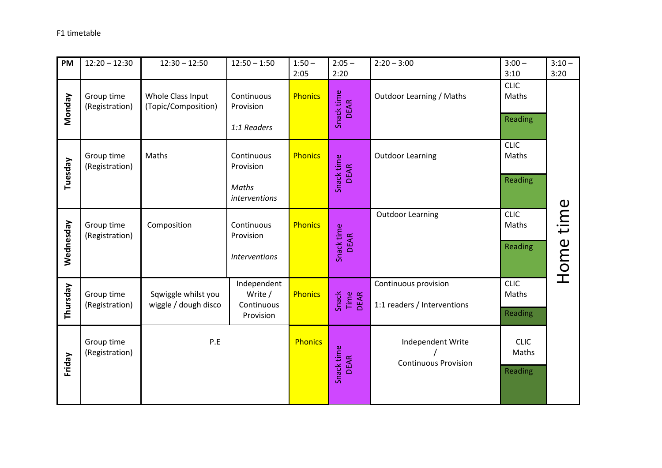| PM        | $12:20 - 12:30$              | $12:30 - 12:50$                             | $12:50 - 1:50$                                    | $1:50 -$<br>2:05 | $2:05 -$<br>2:20          | $2:20 - 3:00$                                       | $3:00 -$<br>3:10                | $3:10 -$<br>3:20 |
|-----------|------------------------------|---------------------------------------------|---------------------------------------------------|------------------|---------------------------|-----------------------------------------------------|---------------------------------|------------------|
| Vonday    | Group time<br>(Registration) | Whole Class Input<br>(Topic/Composition)    | Continuous<br>Provision<br>1:1 Readers            | <b>Phonics</b>   | Snack time<br><b>DEAR</b> | <b>Outdoor Learning / Maths</b>                     | <b>CLIC</b><br>Maths<br>Reading |                  |
| Tuesday   | Group time<br>(Registration) | Maths                                       | Continuous<br>Provision<br>Maths<br>interventions | <b>Phonics</b>   | Snack time<br><b>DEAR</b> | <b>Outdoor Learning</b>                             | <b>CLIC</b><br>Maths<br>Reading |                  |
| Wednesday | Group time<br>(Registration) | Composition                                 | Continuous<br>Provision<br><b>Interventions</b>   | <b>Phonics</b>   | Snack time<br><b>DEAR</b> | <b>Outdoor Learning</b>                             | <b>CLIC</b><br>Maths<br>Reading | Home time        |
| Thursday  | Group time<br>(Registration) | Sqwiggle whilst you<br>wiggle / dough disco | Independent<br>Write /<br>Continuous<br>Provision | <b>Phonics</b>   | Time<br>DEAR<br>Snack     | Continuous provision<br>1:1 readers / Interventions | <b>CLIC</b><br>Maths<br>Reading |                  |
| Friday    | Group time<br>(Registration) | P.E                                         |                                                   | <b>Phonics</b>   | Snack time<br><b>DEAR</b> | Independent Write<br><b>Continuous Provision</b>    | <b>CLIC</b><br>Maths<br>Reading |                  |